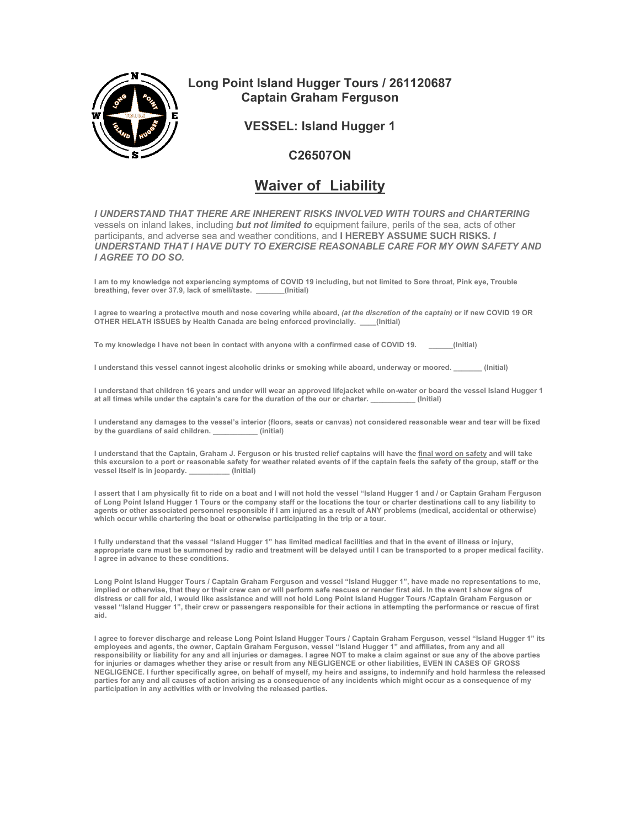

## **Long Point Island Hugger Tours / 261120687 Captain Graham Ferguson**

**VESSEL: Island Hugger 1**

## **C26507ON**

## **Waiver of Liability**

*I UNDERSTAND THAT THERE ARE INHERENT RISKS INVOLVED WITH TOURS and CHARTERING* vessels on inland lakes, including *but not limited to* equipment failure, perils of the sea, acts of other participants, and adverse sea and weather conditions, and **I HEREBY ASSUME SUCH RISKS.** *I*  **UNDERSTAND THAT I HAVE DUTY TO EXERCISE REASONABLE CARE FOR MY OWN SAFETY AND** *I AGREE TO DO SO.* 

**I am to my knowledge not experiencing symptoms of COVID 19 including, but not limited to Sore throat, Pink eye, Trouble**  breathing, fever over 37.9, lack of smell/taste.

**I agree to wearing a protective mouth and nose covering while aboard,** *(at the discretion of the captain)* **or if new COVID 19 OR OTHER HELATH ISSUES by Health Canada are being enforced provincially. \_\_\_\_(Initial)**

**To my knowledge I have not been in contact with anyone with a confirmed case of COVID 19. \_\_\_\_\_\_(Initial)** 

**I understand this vessel cannot ingest alcoholic drinks or smoking while aboard, underway or moored. \_\_\_\_\_\_\_ (Initial)** 

**I understand that children 16 years and under will wear an approved lifejacket while on-water or board the vessel Island Hugger 1 at all times while under the captain's care for the duration of the our or charter. \_\_\_\_\_\_\_\_\_\_\_ (Initial)** 

**I understand any damages to the vessel's interior (floors, seats or canvas) not considered reasonable wear and tear will be fixed by the guardians of said children. \_\_\_\_\_\_\_\_\_\_\_ (initial)** 

**I understand that the Captain, Graham J. Ferguson or his trusted relief captains will have the final word on safety and will take this excursion to a port or reasonable safety for weather related events of if the captain feels the safety of the group, staff or the vessel itself is in jeopardy. \_\_\_\_\_\_\_\_\_\_ (Initial)** 

**I assert that I am physically fit to ride on a boat and I will not hold the vessel "Island Hugger 1 and / or Captain Graham Ferguson of Long Point Island Hugger 1 Tours or the company staff or the locations the tour or charter destinations call to any liability to agents or other associated personnel responsible if I am injured as a result of ANY problems (medical, accidental or otherwise) which occur while chartering the boat or otherwise participating in the trip or a tour.** 

**I fully understand that the vessel "Island Hugger 1" has limited medical facilities and that in the event of illness or injury, appropriate care must be summoned by radio and treatment will be delayed until I can be transported to a proper medical facility. I agree in advance to these conditions.** 

**Long Point Island Hugger Tours / Captain Graham Ferguson and vessel "Island Hugger 1", have made no representations to me, implied or otherwise, that they or their crew can or will perform safe rescues or render first aid. In the event I show signs of distress or call for aid, I would like assistance and will not hold Long Point Island Hugger Tours /Captain Graham Ferguson or vessel "Island Hugger 1", their crew or passengers responsible for their actions in attempting the performance or rescue of first aid.** 

I agree to forever discharge and release Long Point Island Hugger Tours / Captain Graham Ferguson, vessel "Island Hugger 1" its<br>employees and agents, the owner, Captain Graham Ferguson, vessel "Island Hugger 1" and affilia **responsibility or liability for any and all injuries or damages. I agree NOT to make a claim against or sue any of the above parties for injuries or damages whether they arise or result from any NEGLIGENCE or other liabilities, EVEN IN CASES OF GROSS NEGLIGENCE. I further specifically agree, on behalf of myself, my heirs and assigns, to indemnify and hold harmless the released parties for any and all causes of action arising as a consequence of any incidents which might occur as a consequence of my participation in any activities with or involving the released parties.**